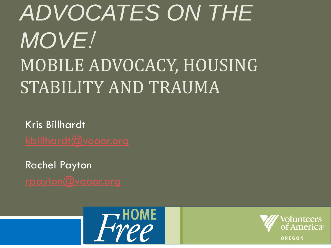# *ADVOCATES ON THE MOVE*! MOBILE ADVOCACY, HOUSING STABILITY AND TRAUMA

Kris Billhardt

Rachel Payton



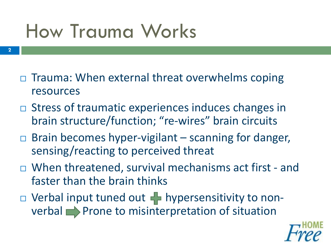# How Trauma Works

- □ Trauma: When external threat overwhelms coping resources
- □ Stress of traumatic experiences induces changes in brain structure/function; "re-wires" brain circuits
- $\Box$  Brain becomes hyper-vigilant scanning for danger, sensing/reacting to perceived threat
- When threatened, survival mechanisms act first and faster than the brain thinks
- $\Box$  Verbal input tuned out  $\Box$  hypersensitivity to non $verbal$  Prone to misinterpretation of situation

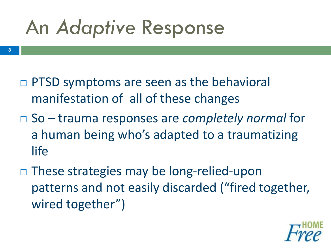# An *Adaptive* Response

- □ PTSD symptoms are seen as the behavioral manifestation of all of these changes
- So trauma responses are *completely normal* for a human being who's adapted to a traumatizing life
- These strategies may be long-relied-upon patterns and not easily discarded ("fired together, wired together")

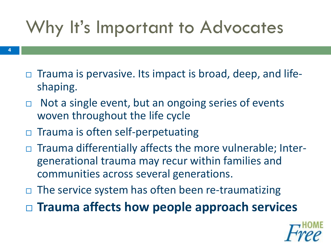### Why It's Important to Advocates

- **4**
- $\Box$  Trauma is pervasive. Its impact is broad, deep, and lifeshaping.
- $\Box$  Not a single event, but an ongoing series of events woven throughout the life cycle
- $\Box$  Trauma is often self-perpetuating
- Trauma differentially affects the more vulnerable; Intergenerational trauma may recur within families and communities across several generations.
- $\Box$  The service system has often been re-traumatizing
- **Trauma affects how people approach services**

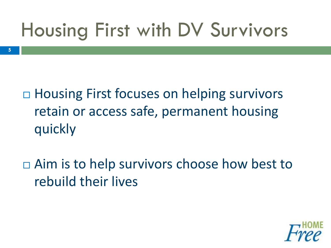# Housing First with DV Survivors

- □ Housing First focuses on helping survivors retain or access safe, permanent housing quickly
- □ Aim is to help survivors choose how best to rebuild their lives

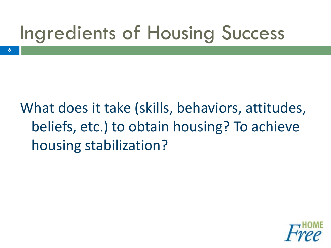# Ingredients of Housing Success

**6**

What does it take (skills, behaviors, attitudes, beliefs, etc.) to obtain housing? To achieve housing stabilization?

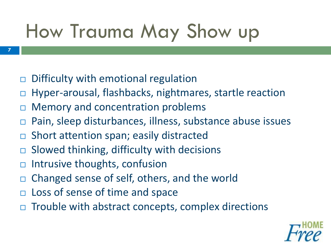# How Trauma May Show up

 $\Box$  Difficulty with emotional regulation

- Hyper-arousal, flashbacks, nightmares, startle reaction
- □ Memory and concentration problems
- □ Pain, sleep disturbances, illness, substance abuse issues
- □ Short attention span; easily distracted
- $\Box$  Slowed thinking, difficulty with decisions
- $\Box$  Intrusive thoughts, confusion
- □ Changed sense of self, others, and the world
- □ Loss of sense of time and space
- $\Box$  Trouble with abstract concepts, complex directions

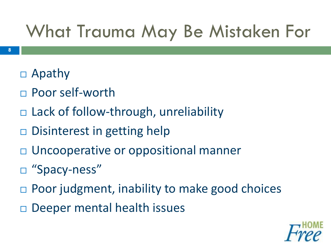### What Trauma May Be Mistaken For

- Apathy
- □ Poor self-worth
- Lack of follow-through, unreliability
- Disinterest in getting help
- □ Uncooperative or oppositional manner
- □ "Spacy-ness"
- Poor judgment, inability to make good choices
- Deeper mental health issues

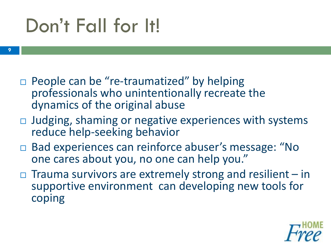## Don't Fall for It!

- $\Box$  People can be "re-traumatized" by helping professionals who unintentionally recreate the dynamics of the original abuse
- $\Box$  Judging, shaming or negative experiences with systems reduce help-seeking behavior
- □ Bad experiences can reinforce abuser's message: "No one cares about you, no one can help you."
- $\Box$  Trauma survivors are extremely strong and resilient in supportive environment can developing new tools for coping

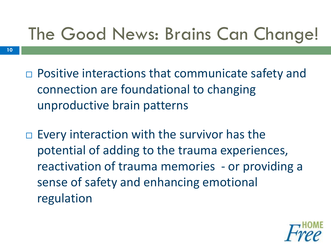### The Good News: Brains Can Change!

□ Positive interactions that communicate safety and connection are foundational to changing unproductive brain patterns

**10**

 $\Box$  Every interaction with the survivor has the potential of adding to the trauma experiences, reactivation of trauma memories - or providing a sense of safety and enhancing emotional regulation

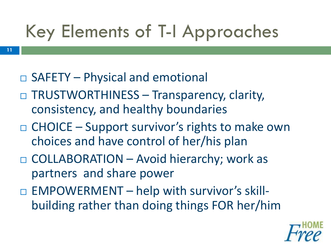### Key Elements of T-I Approaches

□ SAFETY – Physical and emotional

- □ TRUSTWORTHINESS Transparency, clarity, consistency, and healthy boundaries
- $\Box$  CHOICE Support survivor's rights to make own choices and have control of her/his plan
- □ COLLABORATION Avoid hierarchy; work as partners and share power
- $\Box$  EMPOWERMENT help with survivor's skillbuilding rather than doing things FOR her/him

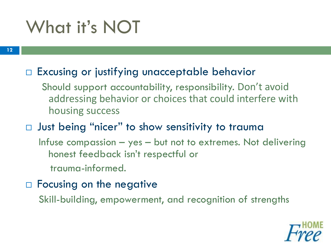### What it's NOT

#### □ Excusing or justifying unacceptable behavior

- Should support accountability, responsibility. Don't avoid addressing behavior or choices that could interfere with housing success
- $\Box$  Just being "nicer" to show sensitivity to trauma
	- Infuse compassion yes but not to extremes. Not delivering honest feedback isn't respectful or
		- trauma-informed.
- $\Box$  Focusing on the negative
	- Skill-building, empowerment, and recognition of strengths

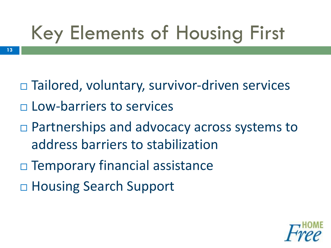# Key Elements of Housing First

- Tailored, voluntary, survivor-driven services Low-barriers to services
- □ Partnerships and advocacy across systems to address barriers to stabilization
- □ Temporary financial assistance
- □ Housing Search Support

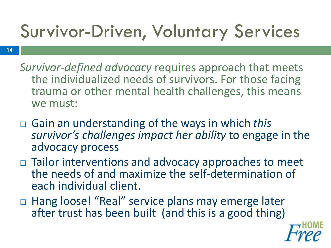## Survivor-Driven, Voluntary Services

- **14**
- *Survivor-defined advocacy* requires approach that meets the individualized needs of survivors. For those facing trauma or other mental health challenges, this means we must:
- Gain an understanding of the ways in which *this survivor's challenges impact her ability* to engage in the advocacy process
- $\Box$  Tailor interventions and advocacy approaches to meet the needs of and maximize the self-determination of each individual client.
- □ Hang loose! "Real" service plans may emerge later after trust has been built (and this is a good thing)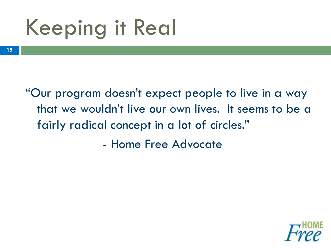# Keeping it Real

"Our program doesn't expect people to live in a way that we wouldn't live our own lives. It seems to be a fairly radical concept in a lot of circles."

- Home Free Advocate

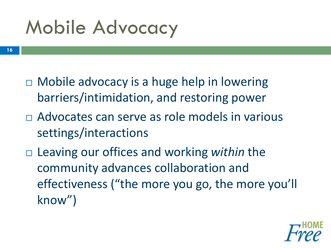# Mobile Advocacy

- Mobile advocacy is a huge help in lowering barriers/intimidation, and restoring power
- Advocates can serve as role models in various settings/interactions
- Leaving our offices and working *within* the community advances collaboration and effectiveness ("the more you go, the more you'll know")

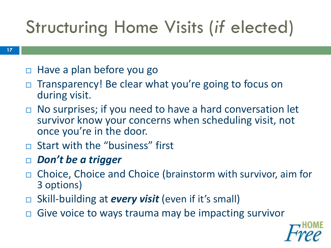### Structuring Home Visits (*if* elected)

- $\Box$  Have a plan before you go
- Transparency! Be clear what you're going to focus on during visit.
- □ No surprises; if you need to have a hard conversation let survivor know your concerns when scheduling visit, not once you're in the door.
- $\Box$  Start with the "business" first
- *Don't be a trigger*
- □ Choice, Choice and Choice (brainstorm with survivor, aim for 3 options)
- □ Skill-building at *every visit* (even if it's small)
- □ Give voice to ways trauma may be impacting survivor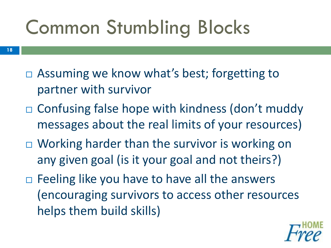# Common Stumbling Blocks

- □ Assuming we know what's best; forgetting to partner with survivor
- Confusing false hope with kindness (don't muddy messages about the real limits of your resources)
- □ Working harder than the survivor is working on any given goal (is it your goal and not theirs?)
- $\Box$  Feeling like you have to have all the answers (encouraging survivors to access other resources helps them build skills)

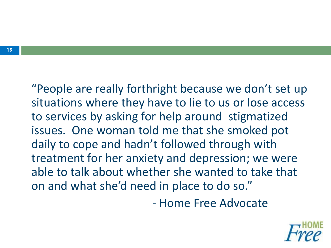"People are really forthright because we don't set up situations where they have to lie to us or lose access to services by asking for help around stigmatized issues. One woman told me that she smoked pot daily to cope and hadn't followed through with treatment for her anxiety and depression; we were able to talk about whether she wanted to take that on and what she'd need in place to do so."

- Home Free Advocate

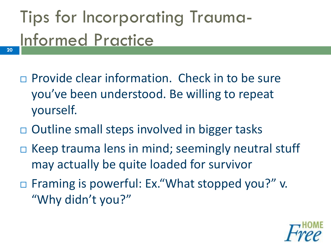## Tips for Incorporating Trauma-Informed Practice

- $\Box$  Provide clear information. Check in to be sure you've been understood. Be willing to repeat yourself.
- $\Box$  Outline small steps involved in bigger tasks
- $\Box$  Keep trauma lens in mind; seemingly neutral stuff may actually be quite loaded for survivor
- □ Framing is powerful: Ex. "What stopped you?" v. "Why didn't you?"

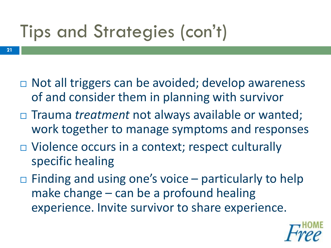## Tips and Strategies (con't)

- □ Not all triggers can be avoided; develop awareness of and consider them in planning with survivor
- □ Trauma *treatment* not always available or wanted; work together to manage symptoms and responses
- □ Violence occurs in a context; respect culturally specific healing
- $\Box$  Finding and using one's voice particularly to help make change – can be a profound healing experience. Invite survivor to share experience.

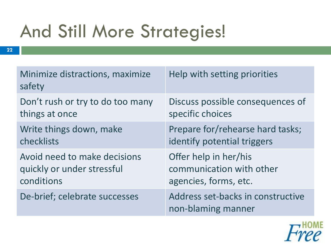### And Still More Strategies!

| Minimize distractions, maximize<br>safety | Help with setting priorities                            |
|-------------------------------------------|---------------------------------------------------------|
| Don't rush or try to do too many          | Discuss possible consequences of                        |
| things at once                            | specific choices                                        |
| Write things down, make                   | Prepare for/rehearse hard tasks;                        |
| checklists                                | identify potential triggers                             |
| Avoid need to make decisions              | Offer help in her/his                                   |
| quickly or under stressful                | communication with other                                |
| conditions                                | agencies, forms, etc.                                   |
| De-brief; celebrate successes             | Address set-backs in constructive<br>non-blaming manner |